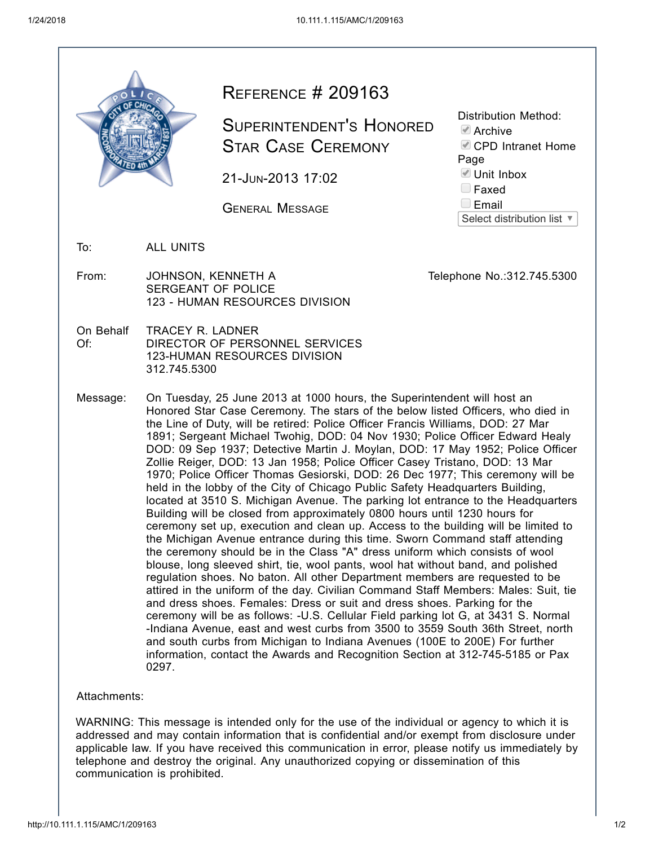| OLIC             |
|------------------|
|                  |
| <b>PATED 4th</b> |

## REFERENCE # 209163

SUPERINTENDENT'S HONORED STAR CASE CEREMONY

21-JUN-2013 17:02

GENERAL MESSAGE

Distribution Method:

 $\blacksquare$  Archive

CPD Intranet Home

Page

■ Unit Inbox

**E** Faxed

**Email** 

Select distribution list ▼

To: ALL UNITS

From: JOHNSON, KENNETH A SERGEANT OF POLICE 123 - HUMAN RESOURCES DIVISION

Telephone No.:312.745.5300

- On Behalf Of: TRACEY R. LADNER DIRECTOR OF PERSONNEL SERVICES 123-HUMAN RESOURCES DIVISION 312.745.5300
- Message: On Tuesday, 25 June 2013 at 1000 hours, the Superintendent will host an Honored Star Case Ceremony. The stars of the below listed Officers, who died in the Line of Duty, will be retired: Police Officer Francis Williams, DOD: 27 Mar 1891; Sergeant Michael Twohig, DOD: 04 Nov 1930; Police Officer Edward Healy DOD: 09 Sep 1937; Detective Martin J. Moylan, DOD: 17 May 1952; Police Officer Zollie Reiger, DOD: 13 Jan 1958; Police Officer Casey Tristano, DOD: 13 Mar 1970; Police Officer Thomas Gesiorski, DOD: 26 Dec 1977; This ceremony will be held in the lobby of the City of Chicago Public Safety Headquarters Building, located at 3510 S. Michigan Avenue. The parking lot entrance to the Headquarters Building will be closed from approximately 0800 hours until 1230 hours for ceremony set up, execution and clean up. Access to the building will be limited to the Michigan Avenue entrance during this time. Sworn Command staff attending the ceremony should be in the Class "A" dress uniform which consists of wool blouse, long sleeved shirt, tie, wool pants, wool hat without band, and polished regulation shoes. No baton. All other Department members are requested to be attired in the uniform of the day. Civilian Command Staff Members: Males: Suit, tie and dress shoes. Females: Dress or suit and dress shoes. Parking for the ceremony will be as follows: -U.S. Cellular Field parking lot G, at 3431 S. Normal -Indiana Avenue, east and west curbs from 3500 to 3559 South 36th Street, north and south curbs from Michigan to Indiana Avenues (100E to 200E) For further information, contact the Awards and Recognition Section at 312-745-5185 or Pax 0297.

Attachments:

WARNING: This message is intended only for the use of the individual or agency to which it is addressed and may contain information that is confidential and/or exempt from disclosure under applicable law. If you have received this communication in error, please notify us immediately by telephone and destroy the original. Any unauthorized copying or dissemination of this communication is prohibited.